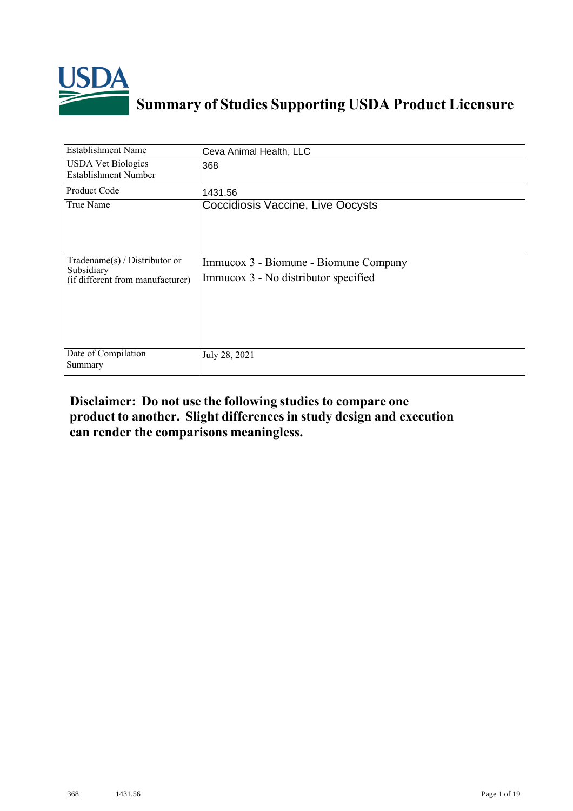

# **Summary of Studies Supporting USDA Product Licensure**

| Establishment Name                                                              | Ceva Animal Health, LLC                                                       |
|---------------------------------------------------------------------------------|-------------------------------------------------------------------------------|
| <b>USDA Vet Biologics</b><br><b>Establishment Number</b>                        | 368                                                                           |
| Product Code                                                                    | 1431.56                                                                       |
| True Name                                                                       | Coccidiosis Vaccine, Live Oocysts                                             |
| Tradename(s) / Distributor or<br>Subsidiary<br>(if different from manufacturer) | Immucox 3 - Biomune - Biomune Company<br>Immucox 3 - No distributor specified |
| Date of Compilation<br>Summary                                                  | July 28, 2021                                                                 |

## **Disclaimer: Do not use the following studiesto compare one product to another. Slight differencesin study design and execution can render the comparisons meaningless.**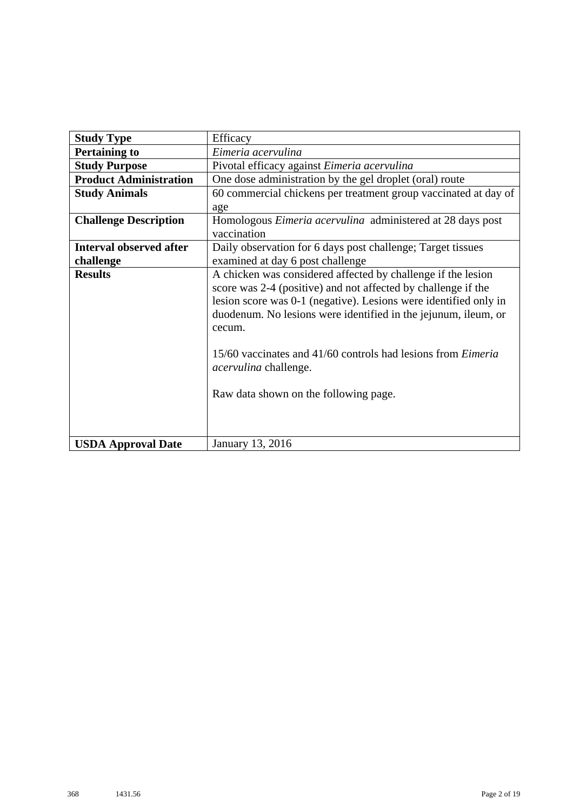| <b>Study Type</b>              | Efficacy                                                            |  |  |
|--------------------------------|---------------------------------------------------------------------|--|--|
| <b>Pertaining to</b>           | Eimeria acervulina                                                  |  |  |
| <b>Study Purpose</b>           | Pivotal efficacy against Eimeria acervulina                         |  |  |
| <b>Product Administration</b>  | One dose administration by the gel droplet (oral) route             |  |  |
| <b>Study Animals</b>           | 60 commercial chickens per treatment group vaccinated at day of     |  |  |
|                                | age                                                                 |  |  |
| <b>Challenge Description</b>   | Homologous <i>Eimeria acervulina</i> administered at 28 days post   |  |  |
|                                | vaccination                                                         |  |  |
| <b>Interval observed after</b> | Daily observation for 6 days post challenge; Target tissues         |  |  |
| challenge                      | examined at day 6 post challenge                                    |  |  |
| <b>Results</b>                 | A chicken was considered affected by challenge if the lesion        |  |  |
|                                | score was 2-4 (positive) and not affected by challenge if the       |  |  |
|                                | lesion score was 0-1 (negative). Lesions were identified only in    |  |  |
|                                | duodenum. No lesions were identified in the jejunum, ileum, or      |  |  |
|                                | cecum.                                                              |  |  |
|                                |                                                                     |  |  |
|                                | 15/60 vaccinates and 41/60 controls had lesions from <i>Eimeria</i> |  |  |
|                                | <i>acervulina</i> challenge.                                        |  |  |
|                                |                                                                     |  |  |
|                                | Raw data shown on the following page.                               |  |  |
|                                |                                                                     |  |  |
|                                |                                                                     |  |  |
| <b>USDA Approval Date</b>      | January 13, 2016                                                    |  |  |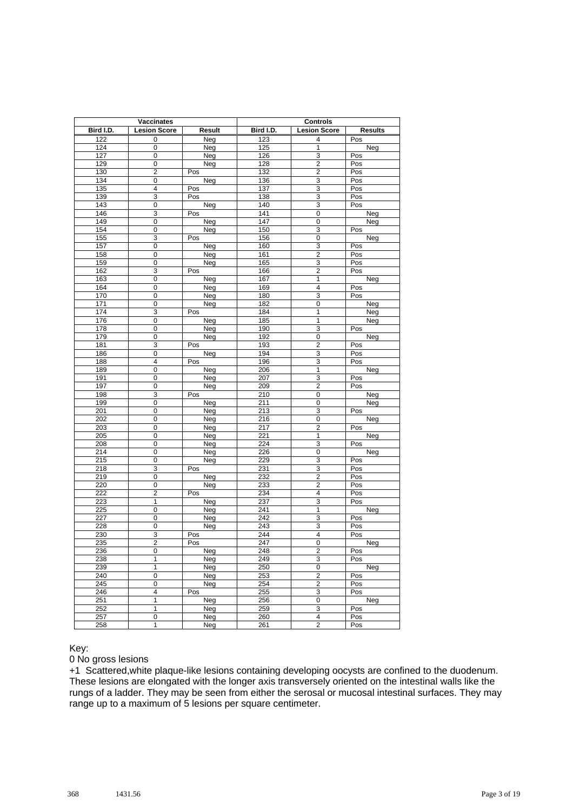| Vaccinates |                     | <b>Controls</b> |            |                                  |                |
|------------|---------------------|-----------------|------------|----------------------------------|----------------|
| Bird I.D.  | <b>Lesion Score</b> | Result          | Bird I.D.  | <b>Lesion Score</b>              | <b>Results</b> |
| 122        | 0                   | Neg             | 123        | 4                                | Pos            |
| 124        | 0                   | Neg             | 125        | $\mathbf{1}$                     | Neg            |
| 127        | 0                   | Neg             | 126        | 3                                | Pos            |
| 129        | 0                   | Neg             | 128        | $\overline{2}$                   | Pos            |
| 130        | $\overline{2}$      | Pos             | 132        | $\overline{2}$                   | Pos            |
| 134        | 0                   | Neg             | 136        | 3                                | Pos            |
| 135        | 4                   | Pos             | 137        | 3                                | Pos            |
| 139        | 3                   | Pos             | 138        | 3                                | Pos            |
| 143        | 0                   | Neg             | 140        | 3                                | Pos            |
| 146        | 3                   | Pos             | 141        | $\overline{0}$                   | Neg            |
| 149        | $\mathbf 0$         | Neg             | 147        | $\overline{0}$                   | Neg            |
| 154        | 0                   | Neg             | 150        | 3                                | Pos            |
| 155        | 3                   | Pos             | 156        | $\overline{0}$                   | Neg            |
| 157        | $\mathbf 0$         | Neg             | 160        | 3                                | Pos            |
| 158        | 0                   | Neg             | 161        | $\overline{2}$                   | Pos            |
| 159        | $\overline{0}$      | Neg             | 165        | 3                                | Pos            |
| 162        | 3                   | Pos             | 166        | $\overline{c}$                   | Pos            |
| 163        | $\mathbf 0$         | Neg             | 167        | $\overline{1}$                   | Neg            |
| 164        | 0                   | Neg             | 169        | 4                                | Pos            |
| 170        | $\mathbf 0$         | Neg             | 180        | 3                                | Pos            |
| 171        | 0                   | Neg             | 182        | $\overline{0}$                   | Neg            |
| 174        | 3                   | Pos             | 184        | 1                                | Neg            |
| 176        | $\overline{0}$      | Neg             | 185        | $\overline{1}$                   | Neg            |
| 178        | 0                   | Neg             | 190        | 3                                | Pos            |
| 179        | $\mathbf 0$<br>3    | Neg             | 192        | $\overline{0}$<br>$\overline{2}$ | Neg            |
| 181        |                     | Pos             | 193        |                                  | Pos            |
| 186<br>188 | 0<br>$\overline{4}$ | Neg             | 194<br>196 | 3<br>3                           | Pos<br>Pos     |
| 189        | $\pmb{0}$           | Pos<br>Neg      | 206        | 1                                | Neg            |
| 191        | 0                   | Neg             | 207        | 3                                | Pos            |
| 197        | 0                   | Neg             | 209        | $\overline{2}$                   | Pos            |
| 198        | 3                   | Pos             | 210        | 0                                | Neg            |
| 199        | 0                   | Neg             | 211        | $\overline{0}$                   | Neg            |
| 201        | $\pmb{0}$           | Neg             | 213        | 3                                | Pos            |
| 202        | 0                   | Neg             | 216        | $\overline{0}$                   | Neg            |
| 203        | 0                   | Neg             | 217        | 2                                | Pos            |
| 205        | 0                   | Neg             | 221        | 1                                | <b>Neg</b>     |
| 208        | $\mathbf 0$         | Neg             | 224        | 3                                | Pos            |
| 214        | $\pmb{0}$           | Neg             | 226        | 0                                | Neg            |
| 215        | 0                   | Neg             | 229        | 3                                | Pos            |
| 218        | 3                   | Pos             | 231        | 3                                | Pos            |
| 219        | 0                   | Neg             | 232        | $\overline{2}$                   | Pos            |
| 220        | 0                   | Neg             | 233        | $\overline{2}$                   | Pos            |
| 222        | $\overline{c}$      | Pos             | 234        | 4                                | Pos            |
| 223        | $\overline{1}$      | Neg             | 237        | 3                                | Pos            |
| 225        | 0                   | Neg             | 241        | 1                                | Neg            |
| 227        | 0                   | Neg             | 242        | 3                                | Pos            |
| 228        | 0                   | Neg             | 243        | 3                                | Pos            |
| 230        | 3                   | Pos             | 244        | $\overline{4}$                   | Pos            |
| 235        | $\overline{2}$      | Pos             | 247        | $\overline{0}$                   | <b>Neg</b>     |
| 236        | 0                   | Neg             | 248        | $\overline{2}$                   | Pos            |
| 238        | 1                   | Neg             | 249        | 3                                | Pos            |
| 239        | 1                   | Neg             | 250        | $\overline{0}$                   | Neg            |
| 240        | $\mathbf 0$         | Neg             | 253        | $\mathbf 2$                      | Pos            |
| 245        | $\overline{0}$      | Neg             | 254        | $\overline{\mathbf{c}}$          | Pos            |
| 246        | 4                   | Pos             | 255        | 3                                | Pos            |
| 251        | 1<br>$\overline{1}$ | Neg             | 256        | 0                                | Neg            |
| 252        |                     | Neg             | 259        | 3                                | Pos            |
| 257        | 0                   | Neg             | 260        | 4                                | Pos            |
| 258        | 1                   | Neg             | 261        | 2                                | Pos            |

#### 0 No gross lesions

+1 Scattered,white plaque-like lesions containing developing oocysts are confined to the duodenum. These lesions are elongated with the longer axis transversely oriented on the intestinal walls like the rungs of a ladder. They may be seen from either the serosal or mucosal intestinal surfaces. They may range up to a maximum of 5 lesions per square centimeter.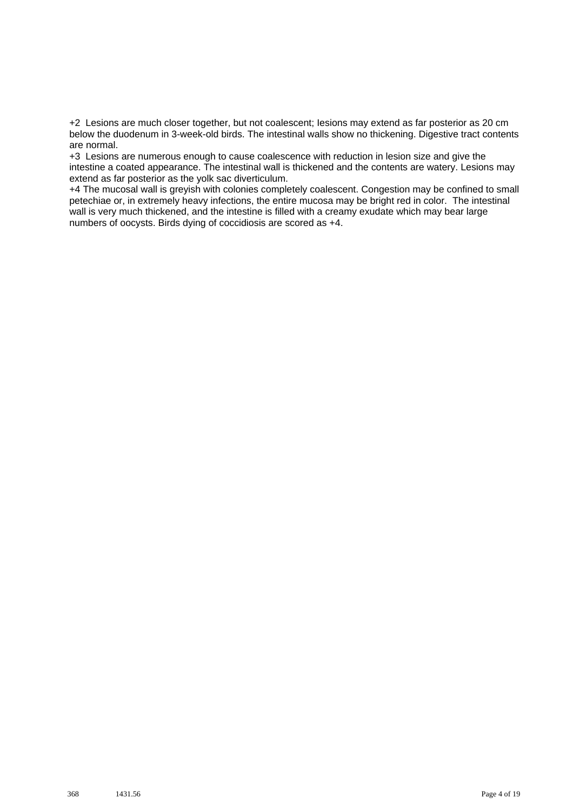+2 Lesions are much closer together, but not coalescent; Iesions may extend as far posterior as 20 cm below the duodenum in 3-week-old birds. The intestinal walls show no thickening. Digestive tract contents are normal.

+3 Lesions are numerous enough to cause coalescence with reduction in lesion size and give the intestine a coated appearance. The intestinal wall is thickened and the contents are watery. Lesions may extend as far posterior as the yolk sac diverticulum.

+4 The mucosal wall is greyish with colonies completely coalescent. Congestion may be confined to small petechiae or, in extremely heavy infections, the entire mucosa may be bright red in color. The intestinal wall is very much thickened, and the intestine is filled with a creamy exudate which may bear large numbers of oocysts. Birds dying of coccidiosis are scored as +4.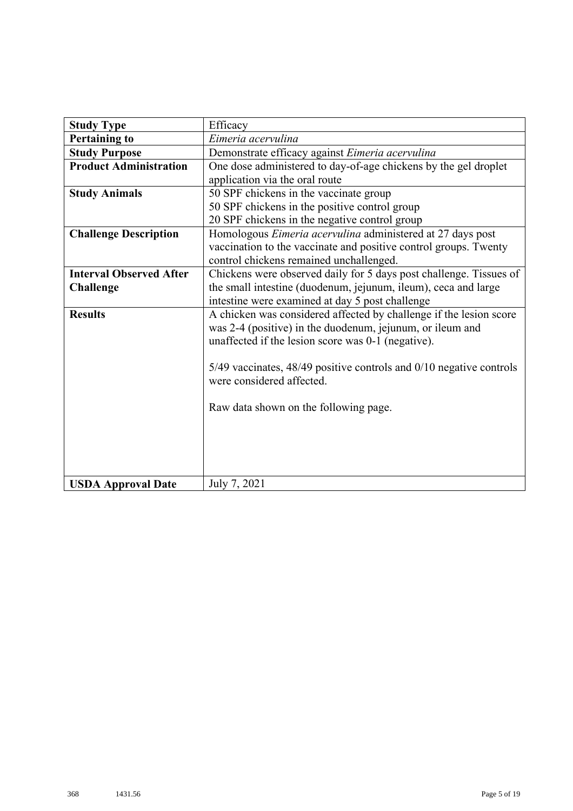| <b>Study Type</b>              | Efficacy                                                                  |
|--------------------------------|---------------------------------------------------------------------------|
| <b>Pertaining to</b>           | Eimeria acervulina                                                        |
| <b>Study Purpose</b>           | Demonstrate efficacy against Eimeria acervulina                           |
| <b>Product Administration</b>  | One dose administered to day-of-age chickens by the gel droplet           |
|                                | application via the oral route                                            |
| <b>Study Animals</b>           | 50 SPF chickens in the vaccinate group                                    |
|                                | 50 SPF chickens in the positive control group                             |
|                                | 20 SPF chickens in the negative control group                             |
| <b>Challenge Description</b>   | Homologous Eimeria acervulina administered at 27 days post                |
|                                | vaccination to the vaccinate and positive control groups. Twenty          |
|                                | control chickens remained unchallenged.                                   |
| <b>Interval Observed After</b> | Chickens were observed daily for 5 days post challenge. Tissues of        |
| <b>Challenge</b>               | the small intestine (duodenum, jejunum, ileum), ceca and large            |
|                                | intestine were examined at day 5 post challenge                           |
| <b>Results</b>                 | A chicken was considered affected by challenge if the lesion score        |
|                                | was 2-4 (positive) in the duodenum, jejunum, or ileum and                 |
|                                | unaffected if the lesion score was 0-1 (negative).                        |
|                                |                                                                           |
|                                | $5/49$ vaccinates, $48/49$ positive controls and $0/10$ negative controls |
|                                | were considered affected.                                                 |
|                                |                                                                           |
|                                | Raw data shown on the following page.                                     |
|                                |                                                                           |
|                                |                                                                           |
|                                |                                                                           |
|                                |                                                                           |
| <b>USDA Approval Date</b>      | July 7, 2021                                                              |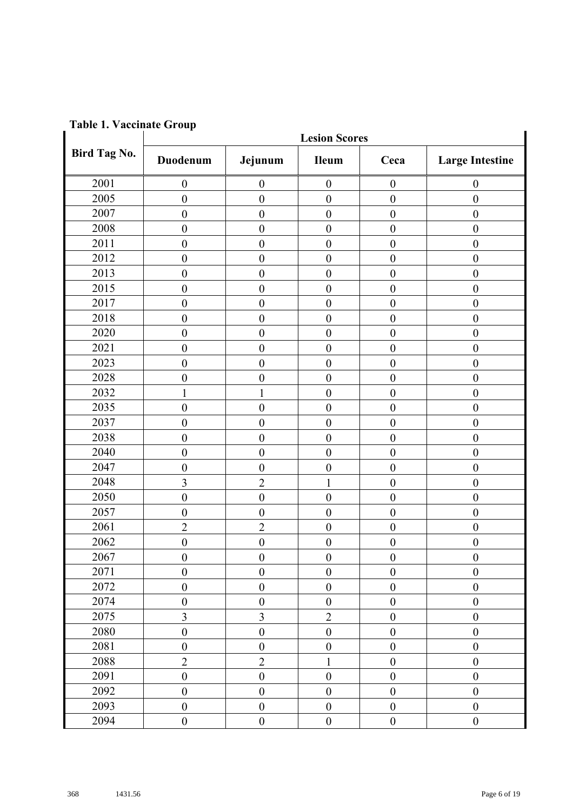|              | <b>Lesion Scores</b> |                  |                  |                  |                        |
|--------------|----------------------|------------------|------------------|------------------|------------------------|
| Bird Tag No. | Duodenum             | Jejunum          | <b>Ileum</b>     | Ceca             | <b>Large Intestine</b> |
| 2001         | $\boldsymbol{0}$     | $\boldsymbol{0}$ | $\boldsymbol{0}$ | $\boldsymbol{0}$ | $\boldsymbol{0}$       |
| 2005         | $\boldsymbol{0}$     | $\boldsymbol{0}$ | $\boldsymbol{0}$ | $\boldsymbol{0}$ | $\boldsymbol{0}$       |
| 2007         | $\boldsymbol{0}$     | $\boldsymbol{0}$ | $\boldsymbol{0}$ | $\boldsymbol{0}$ | $\boldsymbol{0}$       |
| 2008         | $\boldsymbol{0}$     | $\boldsymbol{0}$ | $\boldsymbol{0}$ | $\boldsymbol{0}$ | $\boldsymbol{0}$       |
| 2011         | $\boldsymbol{0}$     | $\boldsymbol{0}$ | $\boldsymbol{0}$ | $\overline{0}$   | $\boldsymbol{0}$       |
| 2012         | $\boldsymbol{0}$     | $\boldsymbol{0}$ | $\boldsymbol{0}$ | $\boldsymbol{0}$ | $\boldsymbol{0}$       |
| 2013         | $\boldsymbol{0}$     | $\boldsymbol{0}$ | $\boldsymbol{0}$ | $\overline{0}$   | $\boldsymbol{0}$       |
| 2015         | $\boldsymbol{0}$     | $\boldsymbol{0}$ | $\boldsymbol{0}$ | $\boldsymbol{0}$ | $\boldsymbol{0}$       |
| 2017         | $\boldsymbol{0}$     | $\boldsymbol{0}$ | $\boldsymbol{0}$ | $\boldsymbol{0}$ | $\boldsymbol{0}$       |
| 2018         | $\boldsymbol{0}$     | $\boldsymbol{0}$ | $\boldsymbol{0}$ | $\overline{0}$   | $\boldsymbol{0}$       |
| 2020         | $\boldsymbol{0}$     | $\boldsymbol{0}$ | $\boldsymbol{0}$ | $\overline{0}$   | $\boldsymbol{0}$       |
| 2021         | $\boldsymbol{0}$     | $\boldsymbol{0}$ | $\boldsymbol{0}$ | $\boldsymbol{0}$ | $\boldsymbol{0}$       |
| 2023         | $\boldsymbol{0}$     | $\boldsymbol{0}$ | $\boldsymbol{0}$ | $\overline{0}$   | $\boldsymbol{0}$       |
| 2028         | $\boldsymbol{0}$     | $\boldsymbol{0}$ | $\boldsymbol{0}$ | $\overline{0}$   | $\boldsymbol{0}$       |
| 2032         | $\mathbf{1}$         | 1                | $\boldsymbol{0}$ | $\boldsymbol{0}$ | $\boldsymbol{0}$       |
| 2035         | $\boldsymbol{0}$     | $\boldsymbol{0}$ | $\boldsymbol{0}$ | $\boldsymbol{0}$ | $\boldsymbol{0}$       |
| 2037         | $\boldsymbol{0}$     | $\boldsymbol{0}$ | $\boldsymbol{0}$ | $\overline{0}$   | $\boldsymbol{0}$       |
| 2038         | $\boldsymbol{0}$     | $\boldsymbol{0}$ | $\boldsymbol{0}$ | $\overline{0}$   | $\boldsymbol{0}$       |
| 2040         | $\boldsymbol{0}$     | $\boldsymbol{0}$ | $\boldsymbol{0}$ | $\boldsymbol{0}$ | $\boldsymbol{0}$       |
| 2047         | $\boldsymbol{0}$     | $\boldsymbol{0}$ | $\boldsymbol{0}$ | $\boldsymbol{0}$ | $\boldsymbol{0}$       |
| 2048         | 3                    | $\overline{c}$   | $\mathbf{1}$     | $\overline{0}$   | $\boldsymbol{0}$       |
| 2050         | $\boldsymbol{0}$     | $\boldsymbol{0}$ | $\boldsymbol{0}$ | $\overline{0}$   | $\boldsymbol{0}$       |
| 2057         | $\boldsymbol{0}$     | $\boldsymbol{0}$ | $\boldsymbol{0}$ | $\overline{0}$   | $\boldsymbol{0}$       |
| 2061         | $\overline{2}$       | $\overline{c}$   | $\mathbf{0}$     | $\overline{0}$   | $\boldsymbol{0}$       |
| 2062         | $\boldsymbol{0}$     | $\boldsymbol{0}$ | $\boldsymbol{0}$ | $\boldsymbol{0}$ | $\boldsymbol{0}$       |
| 2067         | $\mathbf{0}$         | $\mathbf{0}$     | $\boldsymbol{0}$ | $\overline{0}$   | $\mathbf{0}$           |
| 2071         | $\boldsymbol{0}$     | $\boldsymbol{0}$ | $\boldsymbol{0}$ | $\boldsymbol{0}$ | $\boldsymbol{0}$       |
| 2072         | $\boldsymbol{0}$     | $\boldsymbol{0}$ | $\boldsymbol{0}$ | $\boldsymbol{0}$ | $\boldsymbol{0}$       |
| 2074         | $\boldsymbol{0}$     | $\boldsymbol{0}$ | $\mathbf{0}$     | $\boldsymbol{0}$ | $\boldsymbol{0}$       |
| 2075         | $\overline{3}$       | $\overline{3}$   | $\overline{2}$   | $\boldsymbol{0}$ | $\boldsymbol{0}$       |
| 2080         | $\boldsymbol{0}$     | $\boldsymbol{0}$ | $\boldsymbol{0}$ | $\boldsymbol{0}$ | $\boldsymbol{0}$       |
| 2081         | $\boldsymbol{0}$     | $\boldsymbol{0}$ | $\boldsymbol{0}$ | $\boldsymbol{0}$ | $\boldsymbol{0}$       |
| 2088         | $\overline{2}$       | $\overline{2}$   | $\mathbf{1}$     | $\boldsymbol{0}$ | $\boldsymbol{0}$       |
| 2091         | $\boldsymbol{0}$     | $\boldsymbol{0}$ | $\boldsymbol{0}$ | $\boldsymbol{0}$ | $\boldsymbol{0}$       |
| 2092         | $\boldsymbol{0}$     | $\boldsymbol{0}$ | $\boldsymbol{0}$ | $\boldsymbol{0}$ | $\boldsymbol{0}$       |
| 2093         | $\boldsymbol{0}$     | $\boldsymbol{0}$ | $\boldsymbol{0}$ | $\boldsymbol{0}$ | $\boldsymbol{0}$       |
| 2094         | $\boldsymbol{0}$     | $\boldsymbol{0}$ | $\boldsymbol{0}$ | $\boldsymbol{0}$ | $\boldsymbol{0}$       |

**Table 1. Vaccinate Group**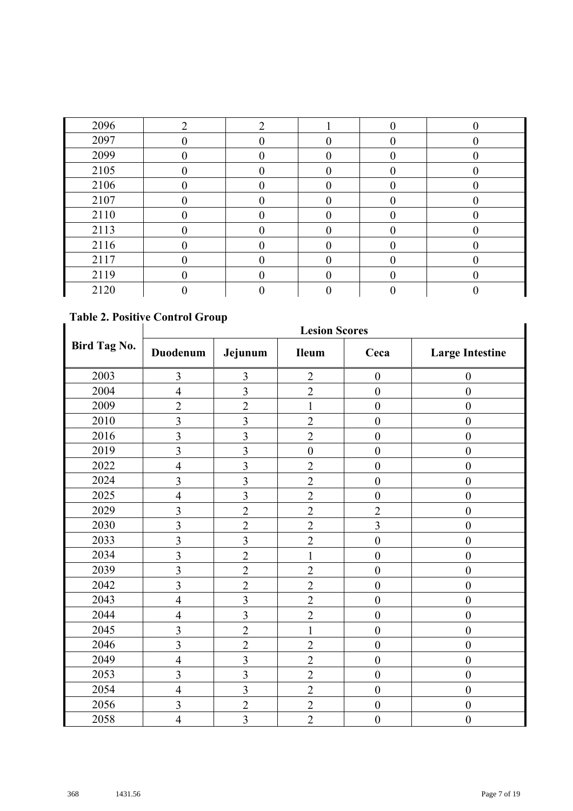| 2096 | ⌒ | ◠ | $\theta$ | 0 |
|------|---|---|----------|---|
| 2097 |   |   |          |   |
| 2099 |   |   |          |   |
| 2105 |   |   |          |   |
| 2106 |   |   |          |   |
| 2107 |   |   |          |   |
| 2110 |   |   |          |   |
| 2113 |   |   |          |   |
| 2116 |   |   |          |   |
| 2117 |   |   |          |   |
| 2119 |   |   |          |   |
| 2120 |   |   |          |   |

### **Table 2. Positive Control Group**

|                     | <b>Lesion Scores</b> |                         |                  |                  |                        |
|---------------------|----------------------|-------------------------|------------------|------------------|------------------------|
| <b>Bird Tag No.</b> | Duodenum             | Jejunum                 | <b>Ileum</b>     | Ceca             | <b>Large Intestine</b> |
| 2003                | $\overline{3}$       | 3                       | $\overline{2}$   | $\boldsymbol{0}$ | $\boldsymbol{0}$       |
| 2004                | $\overline{4}$       | $\overline{3}$          | $\overline{2}$   | $\overline{0}$   | $\mathbf{0}$           |
| 2009                | $\overline{2}$       | $\overline{2}$          | $\mathbf{1}$     | $\boldsymbol{0}$ | $\boldsymbol{0}$       |
| 2010                | $\overline{3}$       | $\overline{\mathbf{3}}$ | $\overline{2}$   | $\mathbf{0}$     | $\boldsymbol{0}$       |
| 2016                | $\overline{3}$       | $\overline{\mathbf{3}}$ | $\overline{2}$   | $\mathbf{0}$     | $\boldsymbol{0}$       |
| 2019                | $\overline{3}$       | 3                       | $\boldsymbol{0}$ | $\boldsymbol{0}$ | $\boldsymbol{0}$       |
| 2022                | $\overline{4}$       | $\overline{\mathbf{3}}$ | $\overline{2}$   | $\boldsymbol{0}$ | $\boldsymbol{0}$       |
| 2024                | $\overline{3}$       | 3                       | $\overline{2}$   | $\mathbf{0}$     | $\mathbf{0}$           |
| 2025                | $\overline{4}$       | $\overline{\mathbf{3}}$ | $\overline{2}$   | $\mathbf{0}$     | $\boldsymbol{0}$       |
| 2029                | $\overline{3}$       | $\overline{2}$          | $\overline{2}$   | $\overline{2}$   | $\boldsymbol{0}$       |
| 2030                | $\overline{3}$       | $\overline{2}$          | $\overline{2}$   | $\overline{3}$   | $\boldsymbol{0}$       |
| 2033                | $\overline{3}$       | $\overline{\mathbf{3}}$ | $\overline{2}$   | $\mathbf{0}$     | $\boldsymbol{0}$       |
| 2034                | $\overline{3}$       | $\overline{2}$          | $\mathbf{1}$     | $\mathbf{0}$     | $\mathbf{0}$           |
| 2039                | $\overline{3}$       | $\overline{2}$          | $\overline{2}$   | $\boldsymbol{0}$ | $\mathbf{0}$           |
| 2042                | $\overline{3}$       | $\overline{2}$          | $\overline{2}$   | $\mathbf{0}$     | $\overline{0}$         |
| 2043                | $\overline{4}$       | $\overline{\mathbf{3}}$ | $\overline{2}$   | $\boldsymbol{0}$ | $\boldsymbol{0}$       |
| 2044                | $\overline{4}$       | 3                       | $\overline{2}$   | $\mathbf{0}$     | $\boldsymbol{0}$       |
| 2045                | $\overline{3}$       | $\overline{2}$          | $\mathbf{1}$     | $\boldsymbol{0}$ | $\boldsymbol{0}$       |
| 2046                | $\overline{3}$       | $\overline{2}$          | $\overline{c}$   | $\boldsymbol{0}$ | $\boldsymbol{0}$       |
| 2049                | $\overline{4}$       | $\overline{\mathbf{3}}$ | $\overline{2}$   | $\boldsymbol{0}$ | $\boldsymbol{0}$       |
| 2053                | 3                    | 3                       | $\overline{2}$   | $\boldsymbol{0}$ | $\boldsymbol{0}$       |
| 2054                | $\overline{4}$       | $\overline{3}$          | $\overline{2}$   | $\mathbf{0}$     | $\boldsymbol{0}$       |
| 2056                | $\overline{3}$       | $\overline{2}$          | $\overline{2}$   | $\overline{0}$   | $\mathbf{0}$           |
| 2058                | $\overline{4}$       | 3                       | $\overline{2}$   | $\mathbf{0}$     | $\boldsymbol{0}$       |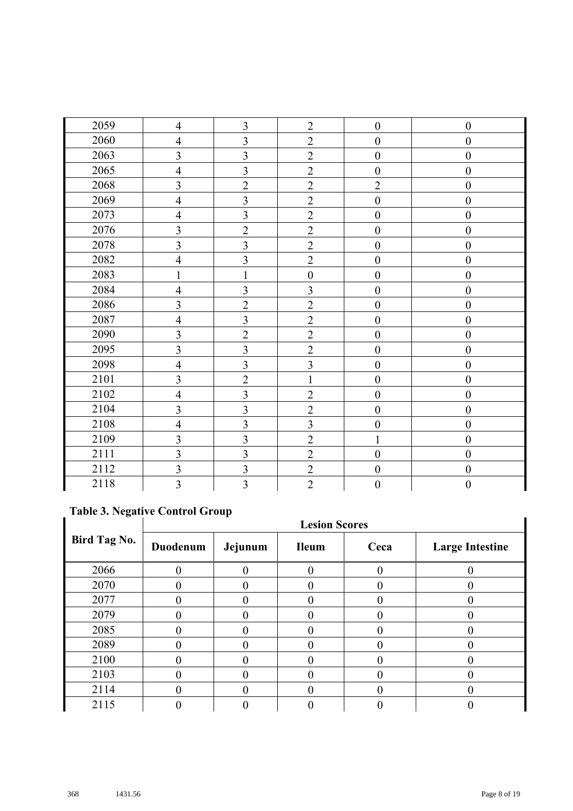| 2059 | $\overline{4}$          | 3                       | $\overline{2}$   | $\boldsymbol{0}$ | $\boldsymbol{0}$ |
|------|-------------------------|-------------------------|------------------|------------------|------------------|
| 2060 | $\overline{4}$          | $\overline{3}$          | $\sqrt{2}$       | $\overline{0}$   | $\boldsymbol{0}$ |
| 2063 | $\overline{3}$          | $\overline{3}$          | $\overline{2}$   | $\boldsymbol{0}$ | $\boldsymbol{0}$ |
| 2065 | $\overline{4}$          | $\overline{3}$          | $\overline{2}$   | $\overline{0}$   | $\mathbf{0}$     |
| 2068 | $\overline{3}$          | $\overline{2}$          | $\overline{2}$   | $\overline{2}$   | $\boldsymbol{0}$ |
| 2069 | $\overline{4}$          | $\overline{3}$          | $\overline{2}$   | $\overline{0}$   | $\boldsymbol{0}$ |
| 2073 | $\overline{4}$          | $\overline{3}$          | $\overline{2}$   | $\boldsymbol{0}$ | $\boldsymbol{0}$ |
| 2076 | $\overline{3}$          | $\overline{2}$          | $\overline{2}$   | $\overline{0}$   | $\boldsymbol{0}$ |
| 2078 | $\overline{3}$          | $\overline{3}$          | $\overline{2}$   | $\mathbf{0}$     | $\boldsymbol{0}$ |
| 2082 | $\overline{4}$          | $\overline{3}$          | $\overline{2}$   | $\mathbf{0}$     | $\boldsymbol{0}$ |
| 2083 | $\mathbf{1}$            | $\mathbf{1}$            | $\boldsymbol{0}$ | $\boldsymbol{0}$ | $\boldsymbol{0}$ |
| 2084 | $\overline{4}$          | $\overline{3}$          | $\overline{3}$   | $\overline{0}$   | $\boldsymbol{0}$ |
| 2086 | $\overline{3}$          | $\overline{2}$          | $\overline{2}$   | $\boldsymbol{0}$ | $\boldsymbol{0}$ |
| 2087 | $\overline{4}$          | $\overline{3}$          | $\overline{2}$   | $\boldsymbol{0}$ | $\boldsymbol{0}$ |
| 2090 | $\overline{\mathbf{3}}$ | $\overline{2}$          | $\overline{2}$   | $\boldsymbol{0}$ | $\boldsymbol{0}$ |
| 2095 | $\overline{3}$          | $\overline{3}$          | $\overline{2}$   | $\mathbf{0}$     | $\boldsymbol{0}$ |
| 2098 | $\overline{4}$          | $\overline{\mathbf{3}}$ | $\overline{3}$   | $\boldsymbol{0}$ | $\boldsymbol{0}$ |
| 2101 | $\overline{3}$          | $\overline{2}$          | $\mathbf{1}$     | $\mathbf{0}$     | $\boldsymbol{0}$ |
| 2102 | $\overline{4}$          | $\overline{\mathbf{3}}$ | $\overline{2}$   | $\mathbf{0}$     | $\boldsymbol{0}$ |
| 2104 | $\overline{3}$          | $\overline{3}$          | $\overline{2}$   | $\boldsymbol{0}$ | $\boldsymbol{0}$ |
| 2108 | $\overline{4}$          | $\overline{\mathbf{3}}$ | $\overline{3}$   | $\boldsymbol{0}$ | $\boldsymbol{0}$ |
| 2109 | $\overline{3}$          | $\overline{\mathbf{3}}$ | $\overline{2}$   | 1                | $\boldsymbol{0}$ |
| 2111 | $\overline{3}$          | $\overline{\mathbf{3}}$ | $\overline{2}$   | $\overline{0}$   | $\boldsymbol{0}$ |
| 2112 | $\overline{3}$          | $\overline{\mathbf{3}}$ | $\overline{2}$   | $\mathbf{0}$     | $\boldsymbol{0}$ |
| 2118 | $\overline{3}$          | $\overline{3}$          | $\overline{2}$   | $\boldsymbol{0}$ | $\boldsymbol{0}$ |

## **Table 3. Negative Control Group**

|                     | Table 9: Fregative Control Group |         |              |      |                        |
|---------------------|----------------------------------|---------|--------------|------|------------------------|
|                     | <b>Lesion Scores</b>             |         |              |      |                        |
| <b>Bird Tag No.</b> | Duodenum                         | Jejunum | <b>Ileum</b> | Ceca | <b>Large Intestine</b> |
| 2066                |                                  |         |              |      |                        |
| 2070                |                                  |         |              |      |                        |
| 2077                |                                  |         |              |      |                        |
| 2079                |                                  |         |              |      |                        |
| 2085                |                                  |         |              |      |                        |
| 2089                | $\Omega$                         |         |              |      |                        |
| 2100                |                                  |         |              |      |                        |
| 2103                |                                  |         |              |      |                        |
| 2114                |                                  |         |              |      |                        |
| 2115                |                                  |         |              |      |                        |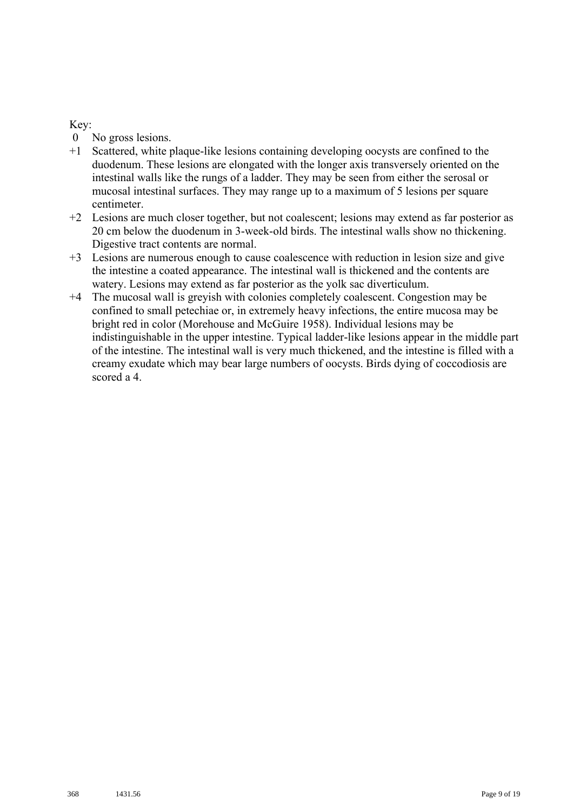- 0 No gross lesions.
- +1 Scattered, white plaque-like lesions containing developing oocysts are confined to the duodenum. These lesions are elongated with the longer axis transversely oriented on the intestinal walls like the rungs of a ladder. They may be seen from either the serosal or mucosal intestinal surfaces. They may range up to a maximum of 5 lesions per square centimeter.
- +2 Lesions are much closer together, but not coalescent; lesions may extend as far posterior as 20 cm below the duodenum in 3-week-old birds. The intestinal walls show no thickening. Digestive tract contents are normal.
- +3 Lesions are numerous enough to cause coalescence with reduction in lesion size and give the intestine a coated appearance. The intestinal wall is thickened and the contents are watery. Lesions may extend as far posterior as the yolk sac diverticulum.
- +4 The mucosal wall is greyish with colonies completely coalescent. Congestion may be confined to small petechiae or, in extremely heavy infections, the entire mucosa may be bright red in color (Morehouse and McGuire 1958). Individual lesions may be indistinguishable in the upper intestine. Typical ladder-like lesions appear in the middle part of the intestine. The intestinal wall is very much thickened, and the intestine is filled with a creamy exudate which may bear large numbers of oocysts. Birds dying of coccodiosis are scored a 4.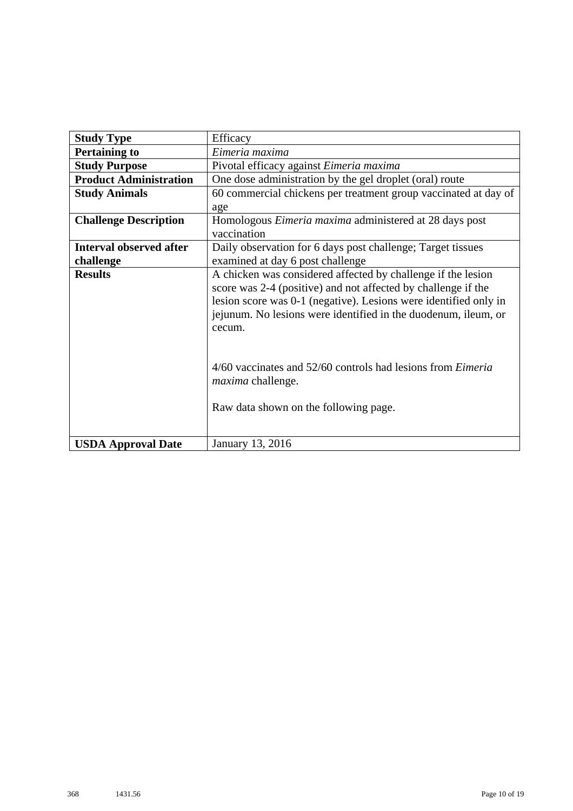| <b>Study Type</b>              | Efficacy                                                                                                                                                                                                                      |  |  |
|--------------------------------|-------------------------------------------------------------------------------------------------------------------------------------------------------------------------------------------------------------------------------|--|--|
| <b>Pertaining to</b>           | Eimeria maxima                                                                                                                                                                                                                |  |  |
| <b>Study Purpose</b>           | Pivotal efficacy against Eimeria maxima                                                                                                                                                                                       |  |  |
| <b>Product Administration</b>  | One dose administration by the gel droplet (oral) route                                                                                                                                                                       |  |  |
| <b>Study Animals</b>           | 60 commercial chickens per treatment group vaccinated at day of                                                                                                                                                               |  |  |
|                                | age                                                                                                                                                                                                                           |  |  |
| <b>Challenge Description</b>   | Homologous <i>Eimeria maxima</i> administered at 28 days post                                                                                                                                                                 |  |  |
|                                | vaccination                                                                                                                                                                                                                   |  |  |
| <b>Interval observed after</b> | Daily observation for 6 days post challenge; Target tissues                                                                                                                                                                   |  |  |
| challenge                      | examined at day 6 post challenge                                                                                                                                                                                              |  |  |
| <b>Results</b>                 | A chicken was considered affected by challenge if the lesion                                                                                                                                                                  |  |  |
|                                | score was 2-4 (positive) and not affected by challenge if the                                                                                                                                                                 |  |  |
|                                | lesion score was 0-1 (negative). Lesions were identified only in                                                                                                                                                              |  |  |
|                                |                                                                                                                                                                                                                               |  |  |
|                                | cecum.                                                                                                                                                                                                                        |  |  |
|                                |                                                                                                                                                                                                                               |  |  |
|                                |                                                                                                                                                                                                                               |  |  |
|                                |                                                                                                                                                                                                                               |  |  |
|                                |                                                                                                                                                                                                                               |  |  |
|                                |                                                                                                                                                                                                                               |  |  |
|                                |                                                                                                                                                                                                                               |  |  |
|                                |                                                                                                                                                                                                                               |  |  |
|                                |                                                                                                                                                                                                                               |  |  |
| <b>USDA Approval Date</b>      | jejunum. No lesions were identified in the duodenum, ileum, or<br>4/60 vaccinates and 52/60 controls had lesions from <i>Eimeria</i><br><i>maxima</i> challenge.<br>Raw data shown on the following page.<br>January 13, 2016 |  |  |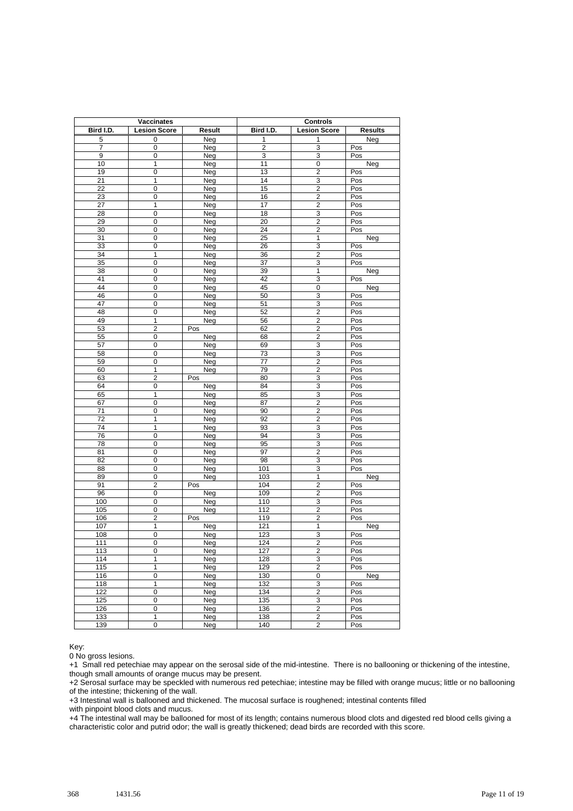| <b>Vaccinates</b> |                         | <b>Controls</b> |                 |                         |                |
|-------------------|-------------------------|-----------------|-----------------|-------------------------|----------------|
| Bird I.D.         | <b>Lesion Score</b>     | Result          | Bird I.D.       | <b>Lesion Score</b>     | <b>Results</b> |
| 5                 | 0                       | Neg             | 1               | 1                       | Neg            |
| 7                 | 0                       | Neg             | $\overline{2}$  | 3                       | Pos            |
| 9                 | $\overline{0}$          | Neg             | 3               | 3                       | Pos            |
| 10                | $\mathbf{1}$            | Neg             | 11              | 0                       | Neg            |
| 19                | 0                       | Neg             | 13              | $\overline{2}$          | Pos            |
| 21                | $\mathbf{1}$            | Neg             | 14              | 3                       | Pos            |
| 22                | 0                       | Neg             | 15              | $\overline{c}$          | Pos            |
| 23                | 0                       | Neg             | 16              | $\overline{c}$          | Pos            |
| 27                | $\mathbf{1}$            | Neg             | 17              | $\overline{c}$          | Pos            |
| $\overline{28}$   | 0                       | Neg             | 18              | 3                       | Pos            |
| 29                | 0                       | Neg             | $\overline{20}$ | $\overline{2}$          | Pos            |
| 30                | 0                       | Neg             | 24              | $\overline{2}$          | Pos            |
| 31                | 0                       | Neg             | 25              | 1                       | Neg            |
| 33                | 0                       | Neg             | 26              | 3                       | Pos            |
| 34                | 1                       | Neg             | 36              | $\overline{2}$          | Pos            |
| 35                | $\overline{0}$          | Neg             | $\overline{37}$ | 3                       | Pos            |
| 38                | 0                       | Neg             | 39              | 1                       | Neg            |
| 41                | $\overline{0}$          | Neg             | 42              | 3                       | Pos            |
| 44                | 0                       | Neg             | 45              | $\overline{0}$          | Neg            |
| 46                | 0                       | Neg             | 50              | 3                       | Pos            |
| 47                | 0                       | Neg             | 51              | 3                       | Pos            |
| 48                | 0                       | Neg             | 52              | 2                       | Pos            |
| 49                | 1                       | Neg             | 56              | $\overline{2}$          | Pos            |
| 53                | $\overline{\mathbf{c}}$ | Pos             | 62              | $\overline{c}$          | Pos            |
| 55                | $\mathbf 0$             | Neg             | 68              | $\overline{2}$          | Pos            |
| 57                | $\overline{0}$          | Neg             | 69              | 3                       | Pos            |
| 58                | 0                       | Neg             | 73              | 3                       | Pos            |
| 59                | 0                       | Neg             | $\overline{77}$ | $\overline{\mathbf{c}}$ | Pos            |
| 60                | 1                       | Neg             | 79              | $\overline{2}$          | Pos            |
| 63                | $\overline{2}$          | Pos             | 80              | 3                       | Pos            |
| 64                | $\pmb{0}$               | Neg             | 84              | $\overline{3}$          | Pos            |
| 65                | $\mathbf{1}$            | Neg             | 85              | 3                       | Pos            |
| 67                | 0                       | Neg             | 87              | $\overline{2}$          | Pos            |
| 71                | 0                       | Neg             | 90              | $\overline{\mathbf{c}}$ | Pos            |
| $\overline{72}$   | $\overline{1}$          | Neg             | 92              | $\overline{\mathbf{c}}$ | Pos            |
| 74                | $\mathbf{1}$            | Neg             | 93              | 3                       | Pos            |
| 76                | 0                       | Neg             | 94              | $\overline{3}$          | Pos            |
| 78                | $\overline{0}$          | Neg             | 95              | 3                       | Pos            |
| 81                | 0                       | Neg             | 97              | $\overline{2}$          | Pos            |
| 82                | 0                       | Neg             | 98              | $\overline{3}$          | Pos            |
| 88                | 0                       | Neg             | 101             | 3                       | Pos            |
| 89                | 0                       | Neg             | 103             | $\overline{1}$          | Neg            |
| 91                | $\overline{2}$          | Pos             | 104             | $\overline{2}$          | Pos            |
| 96                | 0                       | Neg             | 109             | $\overline{2}$          | Pos            |
| 100               | 0                       | Neg             | 110             | $\overline{3}$          | Pos            |
| 105               | 0                       | Neg             | 112             | $\overline{2}$          | Pos            |
| 106               | 2                       | Pos             | 119             | $\overline{2}$          | Pos            |
| 107               | 1                       | Neg             | 121             | 1                       | Neg            |
| 108               | 0                       | Neg             | 123             | 3                       | Pos            |
| 111               | $\overline{0}$          | Neg             | 124             | $\overline{2}$          | Pos            |
| 113               | 0                       | Neg             | 127             | $\overline{c}$          | Pos            |
| 114               | 1                       | Neg             | 128             | 3                       | Pos            |
| 115               | 1                       | Neg             | 129             | $\overline{2}$          | Pos            |
| 116               | 0                       | Neg             | 130             | 0                       | Neg            |
| 118               | $\overline{1}$          | Neg             | 132             | 3                       | Pos            |
| 122               | 0                       | Neg             | 134             | $\overline{2}$          | Pos            |
| 125               | 0                       | Neg             | 135             | 3                       | Pos            |
| 126               | $\overline{0}$          | Neg             | 136             | $\overline{2}$          | Pos            |
| 133               | $\mathbf{1}$            | Neg             | 138             | $\overline{2}$          | Pos            |
| 139               | 0                       | Neg             | 140             | 2                       | Pos            |

0 No gross lesions.

+1 Small red petechiae may appear on the serosal side of the mid-intestine. There is no ballooning or thickening of the intestine, though small amounts of orange mucus may be present.

+2 Serosal surface may be speckled with numerous red petechiae; intestine may be filled with orange mucus; little or no ballooning of the intestine; thickening of the wall.

+3 Intestinal wall is ballooned and thickened. The mucosal surface is roughened; intestinal contents filled

with pinpoint blood clots and mucus.

+4 The intestinal wall may be ballooned for most of its length; contains numerous blood clots and digested red blood cells giving a characteristic color and putrid odor; the wall is greatly thickened; dead birds are recorded with this score.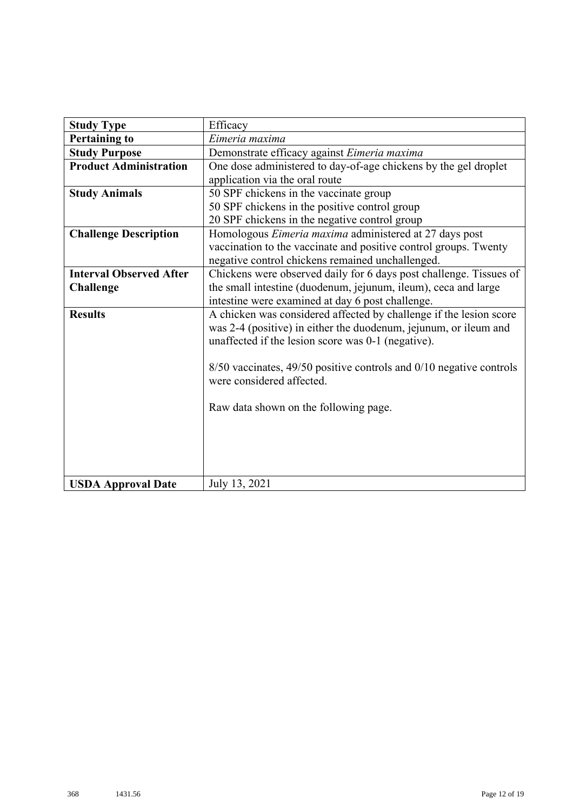| <b>Study Type</b>              | Efficacy                                                                |
|--------------------------------|-------------------------------------------------------------------------|
| <b>Pertaining to</b>           | Eimeria maxima                                                          |
| <b>Study Purpose</b>           | Demonstrate efficacy against Eimeria maxima                             |
| <b>Product Administration</b>  | One dose administered to day-of-age chickens by the gel droplet         |
|                                | application via the oral route                                          |
| <b>Study Animals</b>           | 50 SPF chickens in the vaccinate group                                  |
|                                | 50 SPF chickens in the positive control group                           |
|                                | 20 SPF chickens in the negative control group                           |
| <b>Challenge Description</b>   | Homologous <i>Eimeria maxima</i> administered at 27 days post           |
|                                | vaccination to the vaccinate and positive control groups. Twenty        |
|                                | negative control chickens remained unchallenged.                        |
| <b>Interval Observed After</b> | Chickens were observed daily for 6 days post challenge. Tissues of      |
| <b>Challenge</b>               | the small intestine (duodenum, jejunum, ileum), ceca and large          |
|                                | intestine were examined at day 6 post challenge.                        |
| <b>Results</b>                 | A chicken was considered affected by challenge if the lesion score      |
|                                | was 2-4 (positive) in either the duodenum, jejunum, or ileum and        |
|                                | unaffected if the lesion score was 0-1 (negative).                      |
|                                |                                                                         |
|                                | $8/50$ vaccinates, 49/50 positive controls and $0/10$ negative controls |
|                                | were considered affected.                                               |
|                                |                                                                         |
|                                | Raw data shown on the following page.                                   |
|                                |                                                                         |
|                                |                                                                         |
|                                |                                                                         |
|                                |                                                                         |
| <b>USDA Approval Date</b>      | July 13, 2021                                                           |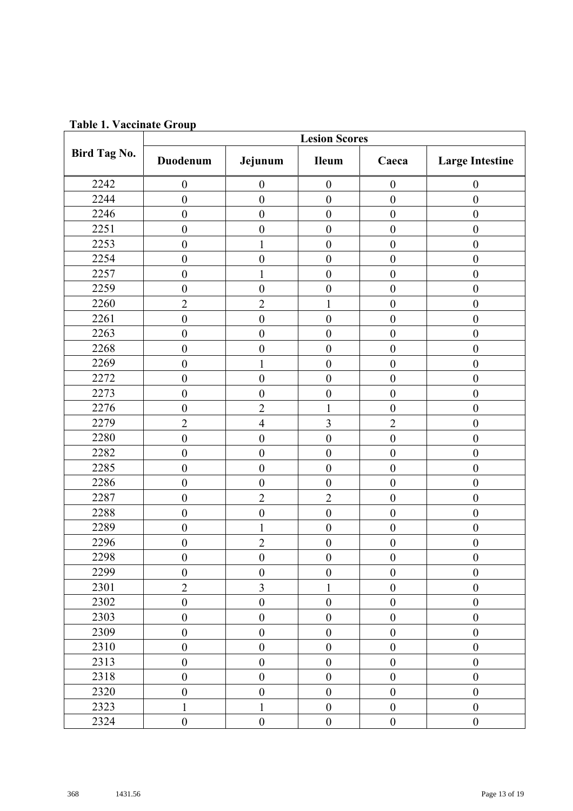| Taon II Tacemare Oroup |                  |                  | <b>Lesion Scores</b> |                  |                        |
|------------------------|------------------|------------------|----------------------|------------------|------------------------|
| Bird Tag No.           | Duodenum         | Jejunum          | Ileum                | Caeca            | <b>Large Intestine</b> |
| 2242                   | $\boldsymbol{0}$ | $\boldsymbol{0}$ | $\boldsymbol{0}$     | $\boldsymbol{0}$ | $\boldsymbol{0}$       |
| 2244                   | $\boldsymbol{0}$ | $\boldsymbol{0}$ | $\boldsymbol{0}$     | $\boldsymbol{0}$ | $\boldsymbol{0}$       |
| 2246                   | $\boldsymbol{0}$ | $\boldsymbol{0}$ | $\boldsymbol{0}$     | $\boldsymbol{0}$ | $\boldsymbol{0}$       |
| 2251                   | $\boldsymbol{0}$ | $\boldsymbol{0}$ | $\boldsymbol{0}$     | $\boldsymbol{0}$ | $\boldsymbol{0}$       |
| 2253                   | $\boldsymbol{0}$ | $\mathbf{1}$     | $\boldsymbol{0}$     | $\boldsymbol{0}$ | $\boldsymbol{0}$       |
| 2254                   | $\mathbf{0}$     | $\boldsymbol{0}$ | $\mathbf{0}$         | $\boldsymbol{0}$ | $\boldsymbol{0}$       |
| 2257                   | $\boldsymbol{0}$ |                  | $\boldsymbol{0}$     | $\boldsymbol{0}$ | $\boldsymbol{0}$       |
| 2259                   | $\boldsymbol{0}$ | $\boldsymbol{0}$ | $\boldsymbol{0}$     | $\boldsymbol{0}$ | $\boldsymbol{0}$       |
| 2260                   | $\overline{2}$   | $\overline{2}$   | $\mathbf{1}$         | $\boldsymbol{0}$ | $\boldsymbol{0}$       |
| 2261                   | $\boldsymbol{0}$ | $\boldsymbol{0}$ | $\boldsymbol{0}$     | $\boldsymbol{0}$ | $\boldsymbol{0}$       |
| 2263                   | $\boldsymbol{0}$ | $\boldsymbol{0}$ | $\boldsymbol{0}$     | $\boldsymbol{0}$ | $\boldsymbol{0}$       |
| 2268                   | $\boldsymbol{0}$ | $\boldsymbol{0}$ | $\boldsymbol{0}$     | $\boldsymbol{0}$ | $\boldsymbol{0}$       |
| 2269                   | $\boldsymbol{0}$ | 1                | $\boldsymbol{0}$     | $\boldsymbol{0}$ | $\boldsymbol{0}$       |
| 2272                   | $\boldsymbol{0}$ | $\boldsymbol{0}$ | $\boldsymbol{0}$     | $\boldsymbol{0}$ | $\boldsymbol{0}$       |
| 2273                   | $\boldsymbol{0}$ | $\boldsymbol{0}$ | $\boldsymbol{0}$     | $\boldsymbol{0}$ | $\boldsymbol{0}$       |
| 2276                   | $\boldsymbol{0}$ | $\overline{2}$   | $\mathbf{1}$         | $\boldsymbol{0}$ | $\boldsymbol{0}$       |
| 2279                   | $\overline{2}$   | $\overline{4}$   | $\overline{3}$       | $\overline{2}$   | $\boldsymbol{0}$       |
| 2280                   | $\boldsymbol{0}$ | $\boldsymbol{0}$ | $\boldsymbol{0}$     | $\boldsymbol{0}$ | $\boldsymbol{0}$       |
| 2282                   | $\boldsymbol{0}$ | $\boldsymbol{0}$ | $\boldsymbol{0}$     | $\boldsymbol{0}$ | $\boldsymbol{0}$       |
| 2285                   | $\boldsymbol{0}$ | $\boldsymbol{0}$ | $\boldsymbol{0}$     | $\boldsymbol{0}$ | $\boldsymbol{0}$       |
| 2286                   | $\boldsymbol{0}$ | $\boldsymbol{0}$ | $\boldsymbol{0}$     | $\boldsymbol{0}$ | $\boldsymbol{0}$       |
| 2287                   | $\boldsymbol{0}$ | $\overline{2}$   | $\overline{2}$       | $\boldsymbol{0}$ | $\boldsymbol{0}$       |
| 2288                   | $\boldsymbol{0}$ | $\boldsymbol{0}$ | $\overline{0}$       | $\boldsymbol{0}$ | $\boldsymbol{0}$       |
| 2289                   | $\boldsymbol{0}$ | 1                | $\boldsymbol{0}$     | $\boldsymbol{0}$ | $\boldsymbol{0}$       |
| 2296                   | $\boldsymbol{0}$ | $\overline{2}$   | $\boldsymbol{0}$     | $\boldsymbol{0}$ | $\boldsymbol{0}$       |
| 2298                   | $\boldsymbol{0}$ | $\boldsymbol{0}$ | $\boldsymbol{0}$     | $\boldsymbol{0}$ | $\boldsymbol{0}$       |
| 2299                   | $\boldsymbol{0}$ | $\boldsymbol{0}$ | $\boldsymbol{0}$     | $\boldsymbol{0}$ | $\boldsymbol{0}$       |
| 2301                   | $\overline{2}$   | 3                | $\mathbf{1}$         | $\boldsymbol{0}$ | $\boldsymbol{0}$       |
| 2302                   | $\boldsymbol{0}$ | $\boldsymbol{0}$ | $\boldsymbol{0}$     | $\boldsymbol{0}$ | $\boldsymbol{0}$       |
| 2303                   | $\boldsymbol{0}$ | $\boldsymbol{0}$ | $\boldsymbol{0}$     | $\boldsymbol{0}$ | $\boldsymbol{0}$       |
| 2309                   | $\boldsymbol{0}$ | $\boldsymbol{0}$ | $\boldsymbol{0}$     | $\boldsymbol{0}$ | $\boldsymbol{0}$       |
| 2310                   | $\boldsymbol{0}$ | $\boldsymbol{0}$ | $\boldsymbol{0}$     | $\boldsymbol{0}$ | $\boldsymbol{0}$       |
| 2313                   | $\boldsymbol{0}$ | $\boldsymbol{0}$ | $\boldsymbol{0}$     | $\boldsymbol{0}$ | $\boldsymbol{0}$       |
| 2318                   | $\boldsymbol{0}$ | $\boldsymbol{0}$ | $\boldsymbol{0}$     | $\boldsymbol{0}$ | $\boldsymbol{0}$       |
| 2320                   | $\boldsymbol{0}$ | $\boldsymbol{0}$ | $\overline{0}$       | $\boldsymbol{0}$ | $\boldsymbol{0}$       |
| 2323                   | 1                | 1                | $\boldsymbol{0}$     | $\boldsymbol{0}$ | $\boldsymbol{0}$       |
| 2324                   | $\boldsymbol{0}$ | $\boldsymbol{0}$ | $\boldsymbol{0}$     | $\boldsymbol{0}$ | $\boldsymbol{0}$       |

**Table 1. Vaccinate Group**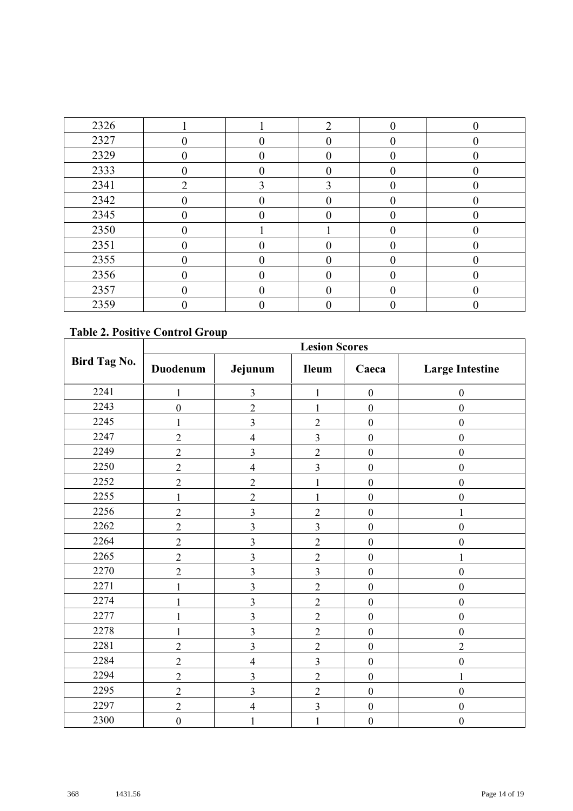| 2326 |                |   | ◠ | ∩ |  |
|------|----------------|---|---|---|--|
| 2327 |                |   |   |   |  |
| 2329 |                |   |   |   |  |
| 2333 |                |   |   |   |  |
| 2341 | $\overline{2}$ |   |   |   |  |
| 2342 |                |   |   |   |  |
| 2345 |                |   |   |   |  |
| 2350 |                |   |   |   |  |
| 2351 |                |   |   |   |  |
| 2355 |                |   |   |   |  |
| 2356 | 0              | 0 |   |   |  |
| 2357 |                |   |   |   |  |
| 2359 |                |   |   |   |  |

#### **Table 2. Positive Control Group**

|              | <b>Lesion Scores</b> |                          |                         |                  |                        |  |  |
|--------------|----------------------|--------------------------|-------------------------|------------------|------------------------|--|--|
| Bird Tag No. | Duodenum             | Jejunum                  | <b>Ileum</b>            | Caeca            | <b>Large Intestine</b> |  |  |
| 2241         | $\mathbf{1}$         | $\mathfrak{Z}$           | $\mathbf{1}$            | $\boldsymbol{0}$ | $\boldsymbol{0}$       |  |  |
| 2243         | $\boldsymbol{0}$     | $\overline{c}$           | 1                       | $\boldsymbol{0}$ | $\boldsymbol{0}$       |  |  |
| 2245         | $\mathbf{1}$         | $\overline{\mathbf{3}}$  | $\overline{2}$          | $\boldsymbol{0}$ | $\boldsymbol{0}$       |  |  |
| 2247         | $\overline{2}$       | $\overline{\mathbf{4}}$  | $\overline{\mathbf{3}}$ | $\boldsymbol{0}$ | $\boldsymbol{0}$       |  |  |
| 2249         | $\overline{c}$       | 3                        | $\overline{2}$          | $\boldsymbol{0}$ | $\boldsymbol{0}$       |  |  |
| 2250         | $\overline{2}$       | $\overline{\mathcal{L}}$ | $\overline{\mathbf{3}}$ | $\boldsymbol{0}$ | $\boldsymbol{0}$       |  |  |
| 2252         | $\overline{2}$       | $\overline{2}$           | $\mathbf{1}$            | $\boldsymbol{0}$ | $\boldsymbol{0}$       |  |  |
| 2255         | $\mathbf 1$          | $\overline{2}$           | $\mathbf{1}$            | $\boldsymbol{0}$ | $\boldsymbol{0}$       |  |  |
| 2256         | $\overline{c}$       | 3                        | $\overline{2}$          | $\boldsymbol{0}$ | $\mathbf{1}$           |  |  |
| 2262         | $\overline{c}$       | $\overline{\mathbf{3}}$  | $\overline{3}$          | $\boldsymbol{0}$ | $\boldsymbol{0}$       |  |  |
| 2264         | $\overline{2}$       | $\overline{\mathbf{3}}$  | $\overline{2}$          | $\boldsymbol{0}$ | $\boldsymbol{0}$       |  |  |
| 2265         | $\overline{c}$       | $\mathfrak{Z}$           | $\overline{2}$          | $\boldsymbol{0}$ | $\mathbf{1}$           |  |  |
| 2270         | $\overline{2}$       | $\overline{\mathbf{3}}$  | $\overline{\mathbf{3}}$ | $\boldsymbol{0}$ | $\boldsymbol{0}$       |  |  |
| 2271         | $\mathbf{1}$         | 3                        | $\overline{2}$          | $\boldsymbol{0}$ | $\boldsymbol{0}$       |  |  |
| 2274         | $\mathbf{1}$         | 3                        | $\overline{2}$          | $\boldsymbol{0}$ | $\boldsymbol{0}$       |  |  |
| 2277         | $\mathbf{1}$         | 3                        | $\overline{2}$          | $\boldsymbol{0}$ | $\boldsymbol{0}$       |  |  |
| 2278         | $\mathbf{1}$         | 3                        | $\overline{2}$          | $\boldsymbol{0}$ | $\boldsymbol{0}$       |  |  |
| 2281         | $\overline{2}$       | $\overline{\mathbf{3}}$  | $\overline{2}$          | $\boldsymbol{0}$ | $\overline{2}$         |  |  |
| 2284         | $\overline{2}$       | $\overline{4}$           | $\overline{3}$          | $\boldsymbol{0}$ | $\boldsymbol{0}$       |  |  |
| 2294         | $\overline{c}$       | 3                        | $\overline{2}$          | $\boldsymbol{0}$ | $\mathbf{1}$           |  |  |
| 2295         | $\overline{2}$       | 3                        | $\overline{2}$          | $\boldsymbol{0}$ | $\boldsymbol{0}$       |  |  |
| 2297         | $\overline{2}$       | $\overline{\mathbf{4}}$  | $\overline{\mathbf{3}}$ | $\boldsymbol{0}$ | $\boldsymbol{0}$       |  |  |
| 2300         | $\boldsymbol{0}$     | $\mathbf{1}$             | 1                       | $\boldsymbol{0}$ | $\boldsymbol{0}$       |  |  |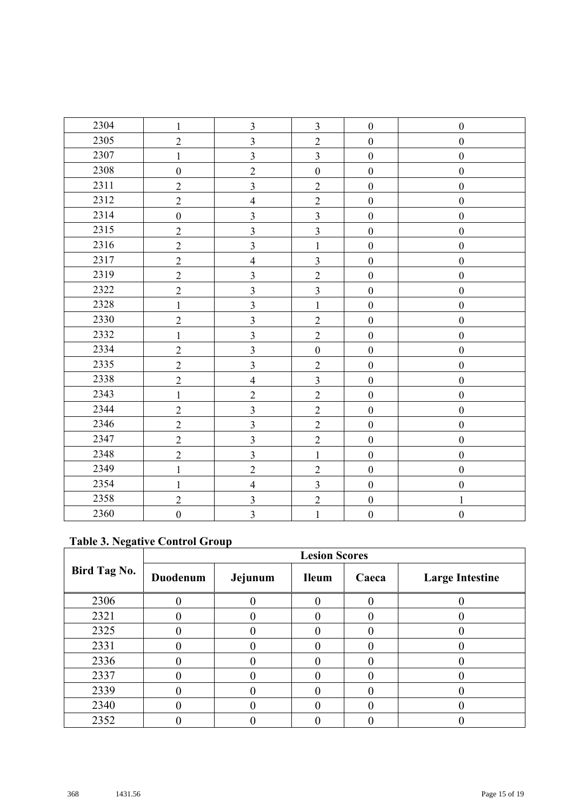| 2304 | $\mathbf{1}$     | $\mathfrak{Z}$          | $\overline{3}$   | $\boldsymbol{0}$ | $\boldsymbol{0}$ |
|------|------------------|-------------------------|------------------|------------------|------------------|
| 2305 | $\overline{2}$   | $\overline{3}$          | $\overline{2}$   | $\boldsymbol{0}$ | $\boldsymbol{0}$ |
| 2307 | $\mathbf{1}$     | $\overline{3}$          | $\overline{3}$   | $\boldsymbol{0}$ | $\boldsymbol{0}$ |
| 2308 | $\boldsymbol{0}$ | $\overline{2}$          | $\boldsymbol{0}$ | $\boldsymbol{0}$ | $\boldsymbol{0}$ |
| 2311 | $\overline{2}$   | $\overline{\mathbf{3}}$ | $\overline{2}$   | $\boldsymbol{0}$ | $\boldsymbol{0}$ |
| 2312 | $\overline{2}$   | $\overline{4}$          | $\overline{2}$   | $\boldsymbol{0}$ | $\boldsymbol{0}$ |
| 2314 | $\boldsymbol{0}$ | $\overline{3}$          | $\overline{3}$   | $\boldsymbol{0}$ | $\boldsymbol{0}$ |
| 2315 | $\overline{2}$   | $\overline{\mathbf{3}}$ | $\overline{3}$   | $\boldsymbol{0}$ | $\boldsymbol{0}$ |
| 2316 | $\sqrt{2}$       | $\overline{\mathbf{3}}$ | $\mathbf{1}$     | $\boldsymbol{0}$ | $\boldsymbol{0}$ |
| 2317 | $\overline{2}$   | $\overline{4}$          | $\overline{3}$   | $\boldsymbol{0}$ | $\mathbf{0}$     |
| 2319 | $\overline{2}$   | $\overline{3}$          | $\overline{2}$   | $\boldsymbol{0}$ | $\boldsymbol{0}$ |
| 2322 | $\sqrt{2}$       | $\mathfrak{Z}$          | $\overline{3}$   | $\boldsymbol{0}$ | $\boldsymbol{0}$ |
| 2328 | $\mathbf{1}$     | $\overline{3}$          | $\mathbf{1}$     | $\boldsymbol{0}$ | $\boldsymbol{0}$ |
| 2330 | $\overline{2}$   | $\overline{3}$          | $\overline{2}$   | $\boldsymbol{0}$ | $\boldsymbol{0}$ |
| 2332 | $\mathbf{1}$     | $\overline{3}$          | $\overline{2}$   | $\boldsymbol{0}$ | $\boldsymbol{0}$ |
| 2334 | $\overline{2}$   | $\overline{3}$          | $\boldsymbol{0}$ | $\boldsymbol{0}$ | $\boldsymbol{0}$ |
| 2335 | $\overline{2}$   | $\overline{3}$          | $\overline{2}$   | $\boldsymbol{0}$ | $\boldsymbol{0}$ |
| 2338 | $\overline{2}$   | $\overline{4}$          | $\overline{3}$   | $\boldsymbol{0}$ | $\boldsymbol{0}$ |
| 2343 | $\mathbf{1}$     | $\overline{2}$          | $\overline{2}$   | $\boldsymbol{0}$ | $\boldsymbol{0}$ |
| 2344 | $\overline{2}$   | $\overline{3}$          | $\overline{2}$   | $\boldsymbol{0}$ | $\boldsymbol{0}$ |
| 2346 | $\overline{2}$   | $\overline{3}$          | $\overline{2}$   | $\boldsymbol{0}$ | $\boldsymbol{0}$ |
| 2347 | $\overline{2}$   | $\overline{3}$          | $\overline{2}$   | $\boldsymbol{0}$ | $\boldsymbol{0}$ |
| 2348 | $\overline{2}$   | $\overline{3}$          | $\mathbf{1}$     | $\boldsymbol{0}$ | $\boldsymbol{0}$ |
| 2349 | $\mathbf{1}$     | $\overline{2}$          | $\overline{2}$   | $\boldsymbol{0}$ | $\boldsymbol{0}$ |
| 2354 | $\mathbf{1}$     | $\overline{\mathbf{4}}$ | $\overline{3}$   | $\boldsymbol{0}$ | $\boldsymbol{0}$ |
| 2358 | $\overline{2}$   | $\overline{3}$          | $\overline{2}$   | $\boldsymbol{0}$ | $\mathbf{1}$     |
| 2360 | $\boldsymbol{0}$ | $\overline{3}$          | $\mathbf{1}$     | $\boldsymbol{0}$ | $\boldsymbol{0}$ |

# **Table 3. Negative Control Group**

|                     | <b>Lesion Scores</b> |         |              |       |                        |  |
|---------------------|----------------------|---------|--------------|-------|------------------------|--|
| <b>Bird Tag No.</b> | Duodenum             | Jejunum | <b>Ileum</b> | Caeca | <b>Large Intestine</b> |  |
| 2306                |                      |         |              |       |                        |  |
| 2321                |                      |         |              |       |                        |  |
| 2325                |                      |         |              |       |                        |  |
| 2331                |                      |         |              |       |                        |  |
| 2336                |                      |         |              |       |                        |  |
| 2337                |                      |         |              |       |                        |  |
| 2339                |                      |         |              |       |                        |  |
| 2340                |                      |         |              |       |                        |  |
| 2352                |                      |         |              |       |                        |  |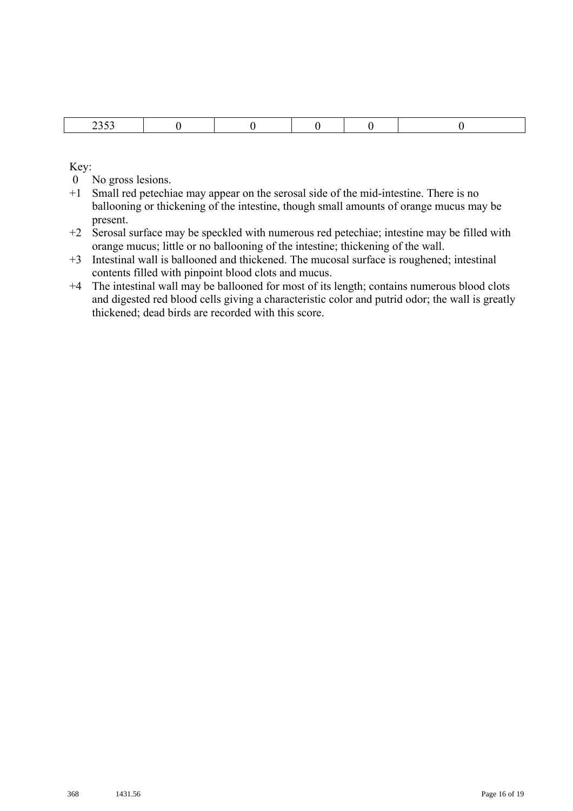| ___ |  |  |  |  |
|-----|--|--|--|--|
|-----|--|--|--|--|

- 0 No gross lesions.
- +1 Small red petechiae may appear on the serosal side of the mid-intestine. There is no ballooning or thickening of the intestine, though small amounts of orange mucus may be present.
- +2 Serosal surface may be speckled with numerous red petechiae; intestine may be filled with orange mucus; little or no ballooning of the intestine; thickening of the wall.
- +3 Intestinal wall is ballooned and thickened. The mucosal surface is roughened; intestinal contents filled with pinpoint blood clots and mucus.
- +4 The intestinal wall may be ballooned for most of its length; contains numerous blood clots and digested red blood cells giving a characteristic color and putrid odor; the wall is greatly thickened; dead birds are recorded with this score.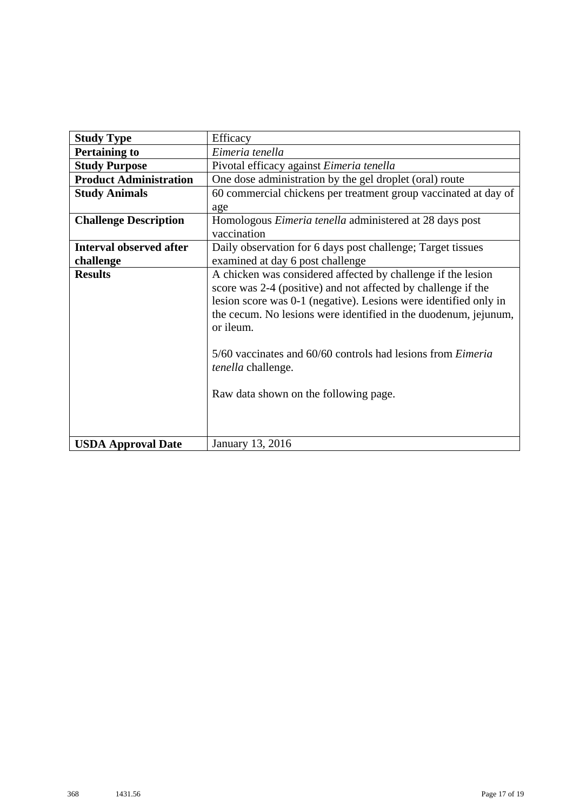| <b>Study Type</b>              | Efficacy                                                           |
|--------------------------------|--------------------------------------------------------------------|
| <b>Pertaining to</b>           | Eimeria tenella                                                    |
| <b>Study Purpose</b>           | Pivotal efficacy against Eimeria tenella                           |
| <b>Product Administration</b>  | One dose administration by the gel droplet (oral) route            |
| <b>Study Animals</b>           | 60 commercial chickens per treatment group vaccinated at day of    |
|                                | age                                                                |
| <b>Challenge Description</b>   | Homologous <i>Eimeria tenella</i> administered at 28 days post     |
|                                | vaccination                                                        |
| <b>Interval observed after</b> | Daily observation for 6 days post challenge; Target tissues        |
| challenge                      | examined at day 6 post challenge                                   |
| <b>Results</b>                 | A chicken was considered affected by challenge if the lesion       |
|                                | score was 2-4 (positive) and not affected by challenge if the      |
|                                | lesion score was 0-1 (negative). Lesions were identified only in   |
|                                | the cecum. No lesions were identified in the duodenum, jejunum,    |
|                                | or ileum.                                                          |
|                                |                                                                    |
|                                | 5/60 vaccinates and 60/60 controls had lesions from <i>Eimeria</i> |
|                                | tenella challenge.                                                 |
|                                |                                                                    |
|                                | Raw data shown on the following page.                              |
|                                |                                                                    |
|                                |                                                                    |
| <b>USDA Approval Date</b>      | January 13, 2016                                                   |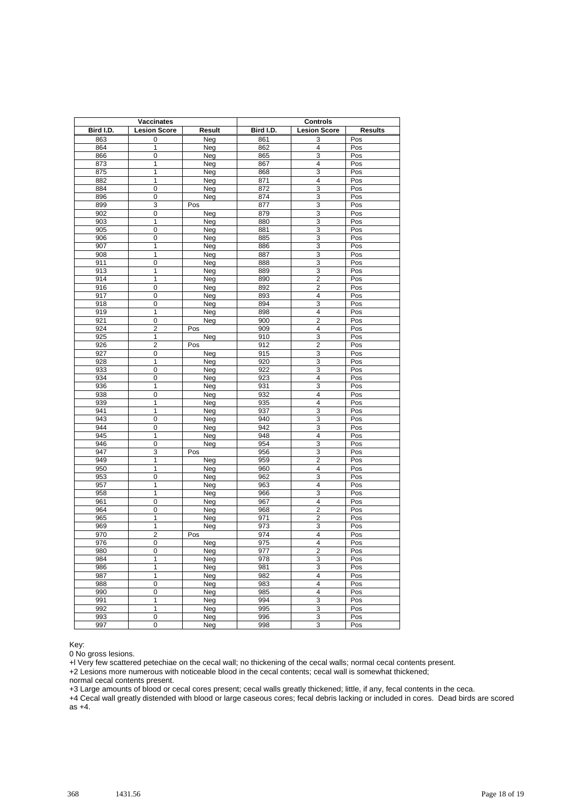|            | Vaccinates          |            | <b>Controls</b>  |                         |                |  |
|------------|---------------------|------------|------------------|-------------------------|----------------|--|
| Bird I.D.  | <b>Lesion Score</b> | Result     | Bird I.D.        | <b>Lesion Score</b>     | <b>Results</b> |  |
| 863        | 0                   | Neg        | 861              | 3                       | Pos            |  |
| 864        | 1                   | Neg        | 862              | 4                       | Pos            |  |
| 866        | 0                   | Neg        | 865              | 3                       | Pos            |  |
| 873        | $\mathbf{1}$        | Neg        | 867              | 4                       | Pos            |  |
| 875        | $\overline{1}$      | Neg        | 868              | $\overline{3}$          | Pos            |  |
| 882        | 1                   | Neg        | 871              | 4                       | Pos            |  |
| 884        | $\mathbf 0$         | Neg        | 872              | 3                       | Pos            |  |
| 896        | 0                   | Neg        | 874              | 3                       | Pos            |  |
| 899        | 3                   | Pos        | 877              | 3                       | Pos            |  |
| 902        | 0                   | Neg        | 879              | 3                       | Pos            |  |
| 903        | $\mathbf{1}$        | Neg        | 880              | 3                       | Pos            |  |
| 905        | 0                   | Neg        | 881              | 3                       | Pos            |  |
| 906        | 0                   | Neg        | 885              | 3                       | Pos            |  |
| 907        | $\mathbf{1}$        | Neg        | 886              | 3                       | Pos            |  |
| 908        | $\mathbf{1}$        | Neg        | 887              | 3                       | Pos            |  |
| 911        | $\overline{0}$      | Neg        | 888              | 3                       | Pos            |  |
| 913        | 1                   | Neg        | 889              | 3                       | Pos            |  |
| 914        | $\overline{1}$      | Neg        | 890              | $\overline{2}$          | Pos            |  |
| 916        | 0                   | Neg        | 892              | $\overline{2}$          | Pos            |  |
| 917        | 0                   | Neg        | 893              | 4                       | Pos            |  |
| 918        | 0                   | Neg        | 894              | 3                       | Pos            |  |
| 919        | 1                   | Neg        | 898              | 4                       | Pos            |  |
| 921        | $\overline{0}$      | Neg        | 900              | $\overline{2}$          | Pos            |  |
| 924        | $\overline{c}$      | Pos        | 909              | 4                       | Pos            |  |
| 925        | $\overline{1}$      | Neg        | 910              | 3                       | Pos            |  |
| 926        | $\overline{2}$      | Pos        | 912              | $\overline{2}$          | Pos            |  |
| 927        | $\pmb{0}$           | Neg        | 915              | 3                       | Pos            |  |
| 928        | 1                   | Neg        | 920              | 3                       | Pos            |  |
| 933        | 0                   | Neg        | 922              | 3                       | Pos            |  |
| 934        | 0                   | Neg        | $\overline{923}$ | 4                       | Pos            |  |
| 936        | $\mathbf{1}$        | Neg        | 931              | 3                       | Pos            |  |
| 938        | $\mathbf 0$<br>1    | Neg        | 932              | 4<br>$\overline{4}$     | Pos            |  |
| 939<br>941 | 1                   | Neg        | 935<br>937       | 3                       | Pos            |  |
| 943        | 0                   | Neg<br>Neg | 940              | 3                       | Pos<br>Pos     |  |
| 944        | 0                   | Neg        | 942              | 3                       | Pos            |  |
| 945        | $\mathbf{1}$        | Neg        | 948              | 4                       | Pos            |  |
| 946        | $\mathbf 0$         | Neg        | 954              | 3                       | Pos            |  |
| 947        | 3                   | Pos        | 956              | 3                       | Pos            |  |
| 949        | 1                   | Neg        | 959              | $\overline{2}$          | Pos            |  |
| 950        | 1                   | Neg        | 960              | 4                       | Pos            |  |
| 953        | 0                   | Neg        | 962              | 3                       | Pos            |  |
| 957        | 1                   | Neg        | 963              | $\overline{4}$          | Pos            |  |
| 958        | $\mathbf{1}$        | Neg        | 966              | 3                       | Pos            |  |
| 961        | $\mathbf 0$         | Neg        | 967              | $\overline{4}$          | Pos            |  |
| 964        | 0                   | Neg        | 968              | $\overline{2}$          | Pos            |  |
| 965        | $\mathbf{1}$        | Neg        | 971              | 2                       | Pos            |  |
| 969        | 1                   | Neg        | 973              | 3                       | Pos            |  |
| 970        | 2                   | Pos        | 974              | 4                       | Pos            |  |
| 976        | 0                   | Neg        | 975              | 4                       | Pos            |  |
| 980        | 0                   | Neg        | 977              | $\overline{\mathbf{c}}$ | Pos            |  |
| 984        | 1                   | Neg        | 978              | 3                       | Pos            |  |
| 986        | 1                   | Neg        | 981              | 3                       | Pos            |  |
| 987        | 1                   | Neg        | 982              | 4                       | Pos            |  |
| 988        | $\overline{0}$      | Neg        | 983              | $\overline{4}$          | Pos            |  |
| 990        | $\overline{0}$      | Neg        | 985              | 4                       | Pos            |  |
| 991        | 1                   | Neg        | 994              | 3                       | Pos            |  |
| 992        | $\overline{1}$      | Neg        | 995              | $\overline{3}$          | Pos            |  |
| 993        | 0                   | Neg        | 996              | 3                       | Pos            |  |
| 997        | 0                   | Neg        | 998              | 3                       | Pos            |  |

0 No gross lesions.

+l Very few scattered petechiae on the cecal wall; no thickening of the cecal walls; normal cecal contents present.

+2 Lesions more numerous with noticeable blood in the cecal contents; cecal wall is somewhat thickened;

normal cecal contents present.

+3 Large amounts of blood or cecal cores present; cecal walls greatly thickened; little, if any, fecal contents in the ceca.

+4 Cecal wall greatly distended with blood or large caseous cores; fecal debris lacking or included in cores. Dead birds are scored as +4.